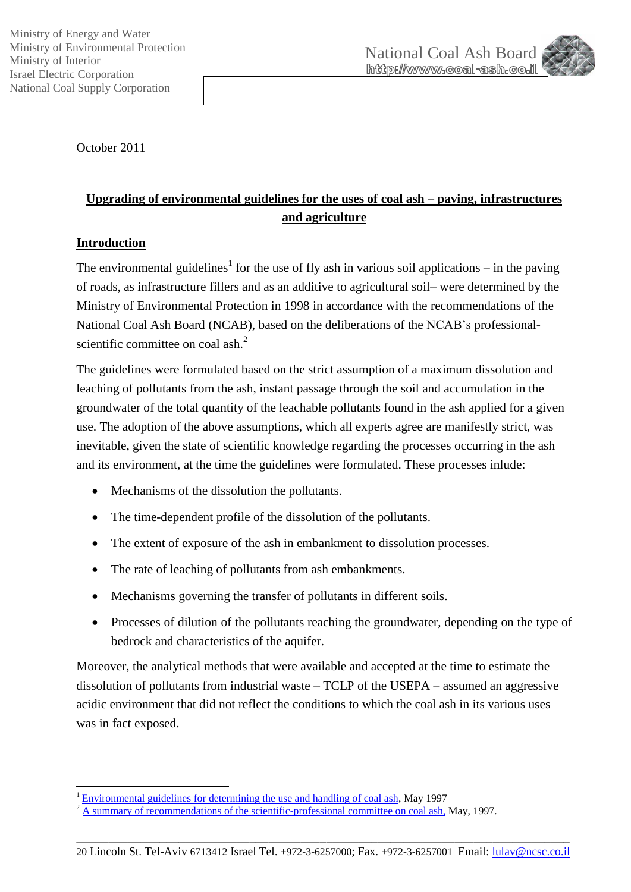



October 2011

# **Upgrading of environmental guidelines for the uses of coal ash – paving, infrastructures and agriculture**

## **Introduction**

1

The environmental guidelines<sup>1</sup> for the use of fly ash in various soil applications – in the paving of roads, as infrastructure fillers and as an additive to agricultural soil– were determined by the Ministry of Environmental Protection in 1998 in accordance with the recommendations of the National Coal Ash Board (NCAB), based on the deliberations of the NCAB's professionalscientific committee on coal ash.<sup>2</sup>

The guidelines were formulated based on the strict assumption of a maximum dissolution and leaching of pollutants from the ash, instant passage through the soil and accumulation in the groundwater of the total quantity of the leachable pollutants found in the ash applied for a given use. The adoption of the above assumptions, which all experts agree are manifestly strict, was inevitable, given the state of scientific knowledge regarding the processes occurring in the ash and its environment, at the time the guidelines were formulated. These processes inlude:

- Mechanisms of the dissolution the pollutants.
- The time-dependent profile of the dissolution of the pollutants.
- The extent of exposure of the ash in embankment to dissolution processes.
- The rate of leaching of pollutants from ash embankments.
- Mechanisms governing the transfer of pollutants in different soils.
- Processes of dilution of the pollutants reaching the groundwater, depending on the type of bedrock and characteristics of the aquifer.

Moreover, the analytical methods that were available and accepted at the time to estimate the dissolution of pollutants from industrial waste – TCLP of the USEPA – assumed an aggressive acidic environment that did not reflect the conditions to which the coal ash in its various uses was in fact exposed.

 $1$  [Environmental guidelines for determining the use and handling of coal ash,](http://www.coal-ash.co.il/docs/EnvironCondCoalAshUtil_1997.pdf) May 1997

 $2 \overline{A}$  summary of recommendations [of the scientific-professional committee on coal ash,](http://www.coal-ash.co.il/sadna09/Summary_ProfessionalScientificCommittee_coalash.pdf) May, 1997.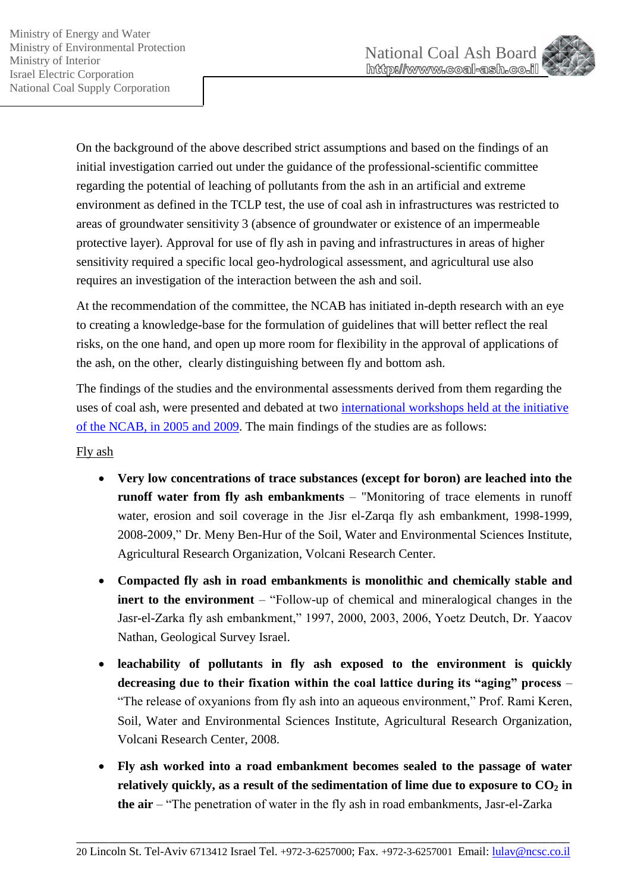

On the background of the above described strict assumptions and based on the findings of an initial investigation carried out under the guidance of the professional-scientific committee regarding the potential of leaching of pollutants from the ash in an artificial and extreme environment as defined in the TCLP test, the use of coal ash in infrastructures was restricted to areas of groundwater sensitivity 3 (absence of groundwater or existence of an impermeable protective layer). Approval for use of fly ash in paving and infrastructures in areas of higher sensitivity required a specific local geo-hydrological assessment, and agricultural use also requires an investigation of the interaction between the ash and soil.

At the recommendation of the committee, the NCAB has initiated in-depth research with an eye to creating a knowledge-base for the formulation of guidelines that will better reflect the real risks, on the one hand, and open up more room for flexibility in the approval of applications of the ash, on the other, clearly distinguishing between fly and bottom ash.

The findings of the studies and the environmental assessments derived from them regarding the uses of coal ash, were presented and debated at two [international workshops held at the initiative](http://www.coal-ash.co.il/english/news_workshop.html)  [of the NCAB, in 2005 and 2009.](http://www.coal-ash.co.il/english/news_workshop.html) The main findings of the studies are as follows:

Fly ash

- **Very low concentrations of trace substances (except for boron) are leached into the runoff water from fly ash embankments** – "Monitoring of trace elements in runoff water, erosion and soil coverage in the Jisr el-Zarqa fly ash embankment, 1998-1999, 2008-2009," Dr. Meny Ben-Hur of the Soil, Water and Environmental Sciences Institute, Agricultural Research Organization, Volcani Research Center.
- **Compacted fly ash in road embankments is monolithic and chemically stable and inert to the environment** – "Follow-up of chemical and mineralogical changes in the Jasr-el-Zarka fly ash embankment," 1997, 2000, 2003, 2006, Yoetz Deutch, Dr. Yaacov Nathan, Geological Survey Israel.
- **leachability of pollutants in fly ash exposed to the environment is quickly decreasing due to their fixation within the coal lattice during its "aging" process** – "The release of oxyanions from fly ash into an aqueous environment," Prof. Rami Keren, Soil, Water and Environmental Sciences Institute, Agricultural Research Organization, Volcani Research Center, 2008.
- **Fly ash worked into a road embankment becomes sealed to the passage of water relatively quickly, as a result of the sedimentation of lime due to exposure to CO<sup>2</sup> in the air** – "The penetration of water in the fly ash in road embankments, Jasr-el-Zarka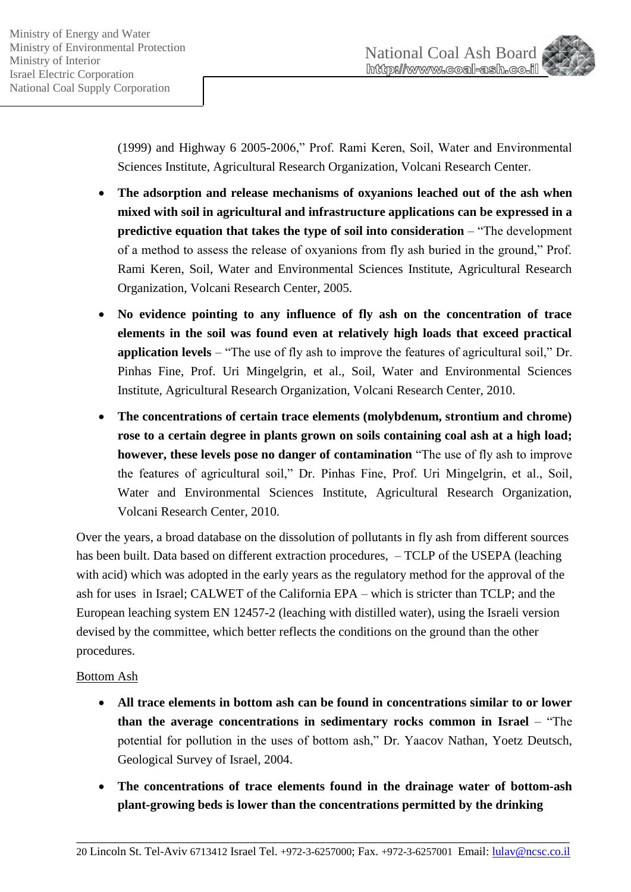

(1999) and Highway 6 2005-2006," Prof. Rami Keren, Soil, Water and Environmental Sciences Institute, Agricultural Research Organization, Volcani Research Center.

- **The adsorption and release mechanisms of oxyanions leached out of the ash when mixed with soil in agricultural and infrastructure applications can be expressed in a predictive equation that takes the type of soil into consideration** – "The development of a method to assess the release of oxyanions from fly ash buried in the ground," Prof. Rami Keren, Soil, Water and Environmental Sciences Institute, Agricultural Research Organization, Volcani Research Center, 2005.
- **No evidence pointing to any influence of fly ash on the concentration of trace elements in the soil was found even at relatively high loads that exceed practical application levels** – "The use of fly ash to improve the features of agricultural soil," Dr. Pinhas Fine, Prof. Uri Mingelgrin, et al., Soil, Water and Environmental Sciences Institute, Agricultural Research Organization, Volcani Research Center, 2010.
- **The concentrations of certain trace elements (molybdenum, strontium and chrome) rose to a certain degree in plants grown on soils containing coal ash at a high load; however, these levels pose no danger of contamination** "The use of fly ash to improve the features of agricultural soil," Dr. Pinhas Fine, Prof. Uri Mingelgrin, et al., Soil, Water and Environmental Sciences Institute, Agricultural Research Organization, Volcani Research Center, 2010.

Over the years, a broad database on the dissolution of pollutants in fly ash from different sources has been built. Data based on different extraction procedures,  $-$  TCLP of the USEPA (leaching with acid) which was adopted in the early years as the regulatory method for the approval of the ash for uses in Israel; CALWET of the California EPA – which is stricter than TCLP; and the European leaching system EN 12457-2 (leaching with distilled water), using the Israeli version devised by the committee, which better reflects the conditions on the ground than the other procedures.

## Bottom Ash

- **All trace elements in bottom ash can be found in concentrations similar to or lower than the average concentrations in sedimentary rocks common in Israel** – "The potential for pollution in the uses of bottom ash," Dr. Yaacov Nathan, Yoetz Deutsch, Geological Survey of Israel, 2004.
- **The concentrations of trace elements found in the drainage water of bottom-ash plant-growing beds is lower than the concentrations permitted by the drinking**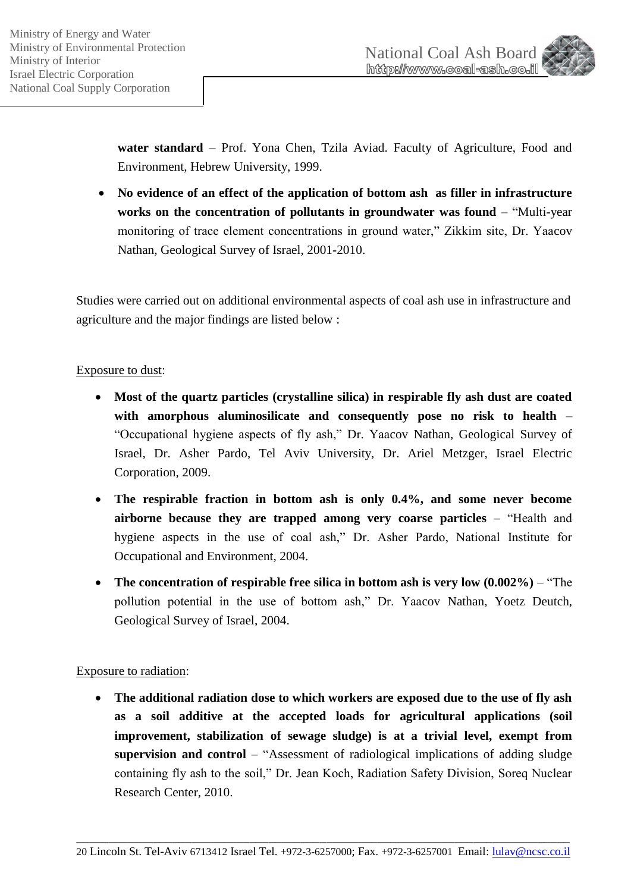

water standard - Prof. Yona Chen, Tzila Aviad. Faculty of Agriculture, Food and Environment, Hebrew University, 1999.

 **No evidence of an effect of the application of bottom ash as filler in infrastructure works on the concentration of pollutants in groundwater was found** – "Multi-year monitoring of trace element concentrations in ground water," Zikkim site, Dr. Yaacov Nathan, Geological Survey of Israel, 2001-2010.

Studies were carried out on additional environmental aspects of coal ash use in infrastructure and agriculture and the major findings are listed below :

## Exposure to dust:

- **Most of the quartz particles (crystalline silica) in respirable fly ash dust are coated with amorphous aluminosilicate and consequently pose no risk to health** – "Occupational hygiene aspects of fly ash," Dr. Yaacov Nathan, Geological Survey of Israel, Dr. Asher Pardo, Tel Aviv University, Dr. Ariel Metzger, Israel Electric Corporation, 2009.
- **The respirable fraction in bottom ash is only 0.4%, and some never become airborne because they are trapped among very coarse particles** – "Health and hygiene aspects in the use of coal ash," Dr. Asher Pardo, National Institute for Occupational and Environment, 2004.
- **The concentration of respirable free silica in bottom ash is very low (0.002%)** "The pollution potential in the use of bottom ash," Dr. Yaacov Nathan, Yoetz Deutch, Geological Survey of Israel, 2004.

## Exposure to radiation:

 **The additional radiation dose to which workers are exposed due to the use of fly ash as a soil additive at the accepted loads for agricultural applications (soil improvement, stabilization of sewage sludge) is at a trivial level, exempt from supervision and control** – "Assessment of radiological implications of adding sludge containing fly ash to the soil," Dr. Jean Koch, Radiation Safety Division, Soreq Nuclear Research Center, 2010.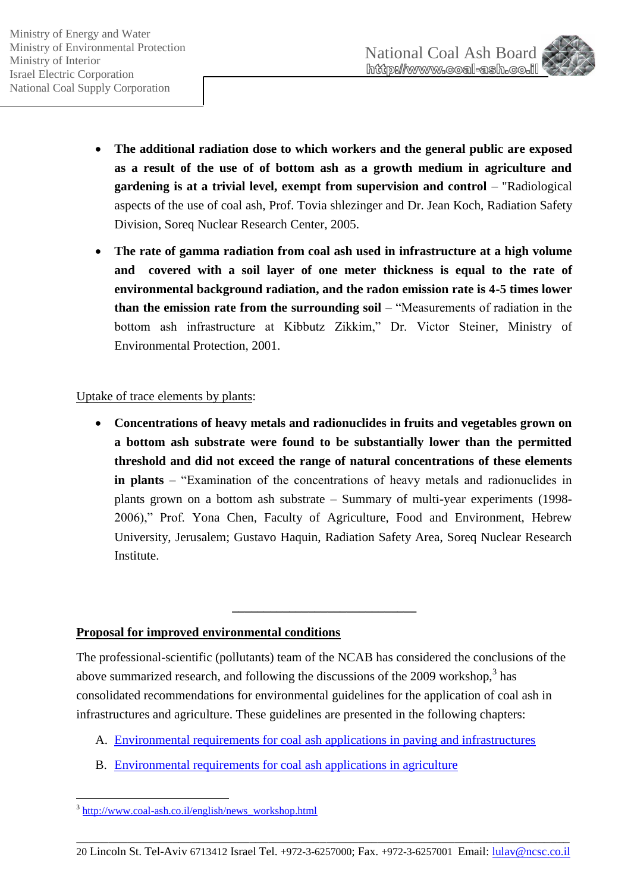

- **The additional radiation dose to which workers and the general public are exposed as a result of the use of of bottom ash as a growth medium in agriculture and gardening is at a trivial level, exempt from supervision and control** – "Radiological aspects of the use of coal ash, Prof. Tovia shlezinger and Dr. Jean Koch, Radiation Safety Division, Soreq Nuclear Research Center, 2005.
- **The rate of gamma radiation from coal ash used in infrastructure at a high volume and covered with a soil layer of one meter thickness is equal to the rate of environmental background radiation, and the radon emission rate is 4-5 times lower than the emission rate from the surrounding soil** – "Measurements of radiation in the bottom ash infrastructure at Kibbutz Zikkim," Dr. Victor Steiner, Ministry of Environmental Protection, 2001.

## Uptake of trace elements by plants:

 **Concentrations of heavy metals and radionuclides in fruits and vegetables grown on a bottom ash substrate were found to be substantially lower than the permitted threshold and did not exceed the range of natural concentrations of these elements in plants** – "Examination of the concentrations of heavy metals and radionuclides in plants grown on a bottom ash substrate – Summary of multi-year experiments (1998- 2006)," Prof. Yona Chen, Faculty of Agriculture, Food and Environment, Hebrew University, Jerusalem; Gustavo Haquin, Radiation Safety Area, Soreq Nuclear Research **Institute.** 

## **Proposal for improved environmental conditions**

The professional-scientific (pollutants) team of the NCAB has considered the conclusions of the above summarized research, and following the discussions of the  $2009$  workshop,<sup>3</sup> has consolidated recommendations for environmental guidelines for the application of coal ash in infrastructures and agriculture. These guidelines are presented in the following chapters:

**\_\_\_\_\_\_\_\_\_\_\_\_\_\_\_\_\_\_\_\_\_\_\_\_\_\_\_\_\_**

- A. [Environmental requirements for coal ash applications in paving and infrastructures](http://www.coal-ash.co.il/docs/CoalAshEvironCondProp_Infrast_E.pdf)
- B. [Environmental requirements for coal ash applications in agriculture](http://www.coal-ash.co.il/docs/CoalAshEvironCondProp_Agri_E.pdf)

1

<sup>&</sup>lt;sup>3</sup> [http://www.coal-ash.co.il/english/news\\_workshop.html](http://www.coal-ash.co.il/english/news_workshop.html)